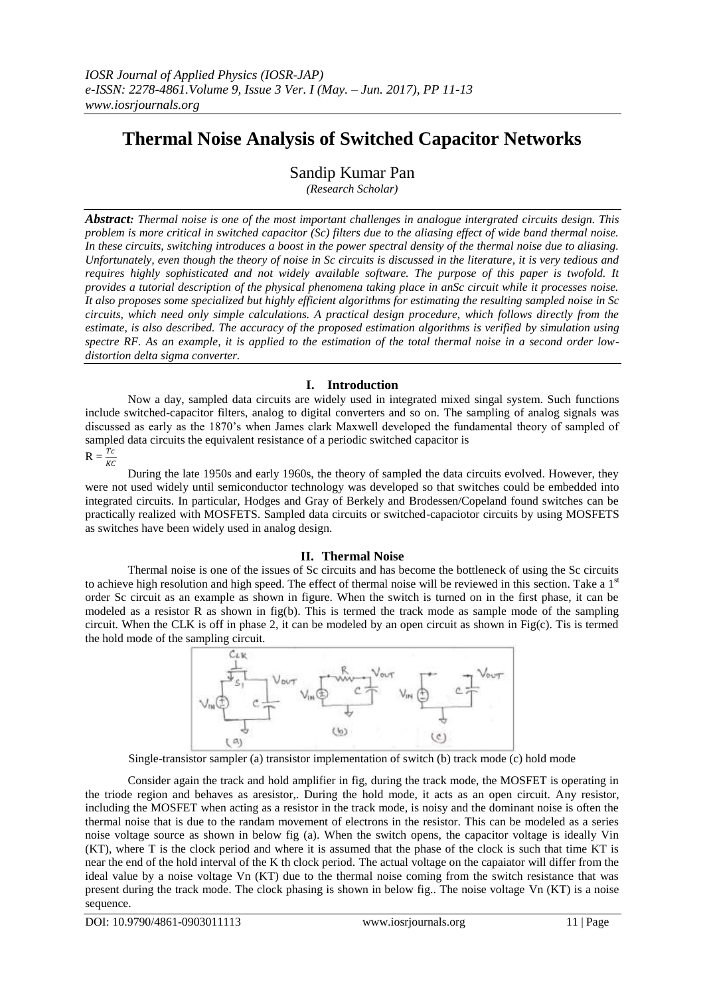# **Thermal Noise Analysis of Switched Capacitor Networks**

Sandip Kumar Pan

*(Research Scholar)*

*Abstract: Thermal noise is one of the most important challenges in analogue intergrated circuits design. This problem is more critical in switched capacitor (Sc) filters due to the aliasing effect of wide band thermal noise.* In these circuits, switching introduces a boost in the power spectral density of the thermal noise due to aliasing. *Unfortunately, even though the theory of noise in Sc circuits is discussed in the literature, it is very tedious and requires highly sophisticated and not widely available software. The purpose of this paper is twofold. It provides a tutorial description of the physical phenomena taking place in anSc circuit while it processes noise. It also proposes some specialized but highly efficient algorithms for estimating the resulting sampled noise in Sc circuits, which need only simple calculations. A practical design procedure, which follows directly from the estimate, is also described. The accuracy of the proposed estimation algorithms is verified by simulation using spectre RF. As an example, it is applied to the estimation of the total thermal noise in a second order lowdistortion delta sigma converter.*

# **I. Introduction**

Now a day, sampled data circuits are widely used in integrated mixed singal system. Such functions include switched-capacitor filters, analog to digital converters and so on. The sampling of analog signals was discussed as early as the 1870's when James clark Maxwell developed the fundamental theory of sampled of sampled data circuits the equivalent resistance of a periodic switched capacitor is

 $R = \frac{Tc}{KC}$ 

During the late 1950s and early 1960s, the theory of sampled the data circuits evolved. However, they were not used widely until semiconductor technology was developed so that switches could be embedded into integrated circuits. In particular, Hodges and Gray of Berkely and Brodessen/Copeland found switches can be practically realized with MOSFETS. Sampled data circuits or switched-capaciotor circuits by using MOSFETS as switches have been widely used in analog design.

## **II. Thermal Noise**

Thermal noise is one of the issues of Sc circuits and has become the bottleneck of using the Sc circuits to achieve high resolution and high speed. The effect of thermal noise will be reviewed in this section. Take a  $1<sup>st</sup>$ order Sc circuit as an example as shown in figure. When the switch is turned on in the first phase, it can be modeled as a resistor R as shown in fig(b). This is termed the track mode as sample mode of the sampling circuit. When the CLK is off in phase 2, it can be modeled by an open circuit as shown in Fig(c). Tis is termed the hold mode of the sampling circuit.



Single-transistor sampler (a) transistor implementation of switch (b) track mode (c) hold mode

Consider again the track and hold amplifier in fig, during the track mode, the MOSFET is operating in the triode region and behaves as aresistor,. During the hold mode, it acts as an open circuit. Any resistor, including the MOSFET when acting as a resistor in the track mode, is noisy and the dominant noise is often the thermal noise that is due to the randam movement of electrons in the resistor. This can be modeled as a series noise voltage source as shown in below fig (a). When the switch opens, the capacitor voltage is ideally Vin (KT), where T is the clock period and where it is assumed that the phase of the clock is such that time KT is near the end of the hold interval of the K th clock period. The actual voltage on the capaiator will differ from the ideal value by a noise voltage Vn (KT) due to the thermal noise coming from the switch resistance that was present during the track mode. The clock phasing is shown in below fig.. The noise voltage Vn (KT) is a noise sequence.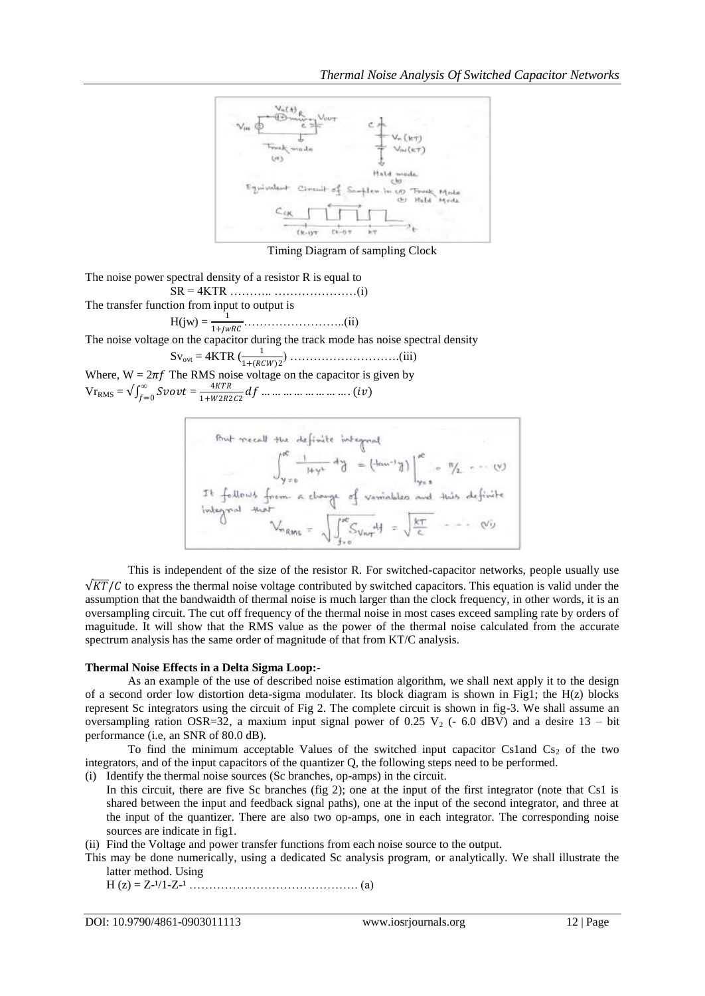

Timing Diagram of sampling Clock

The noise power spectral density of a resistor R is equal to

SR = 4KTR ……….. …………………(i) The transfer function from input to output is

H(jw) = <sup>1</sup> 1+ ……………………..(ii)

The noise voltage on the capacitor during the track mode has noise spectral density

Svovt = 4KTR ( <sup>1</sup> 1+ 2 ) ……………………….(iii)

Where,  $W = 2\pi f$  The RMS noise voltage on the capacitor is given by  $Vr_{RMS} = \sqrt{\int_{f=0}^{\infty} S \nu v t}$  $\int_{f=0}^{\infty}$ Svovt =  $\frac{4KTR}{1+W2R2}$  $\frac{1}{1+W2R2C2}df$  ... ... ... ... ... ... ... ... (iv)

But recall the definite integral  
\n
$$
\int_{y=0}^{\infty} \frac{1}{1+y^2} dy = (\tan^{-1} \frac{1}{d}) \Big|_{y=0}^{\infty} = \frac{\pi}{2} = \frac{(\sqrt{10} + \sqrt{10})}{\pi} = \frac{\pi}{2} = \frac{(\sqrt{10} + \sqrt{10})}{\pi} = \frac{\pi}{2} = \frac{\pi}{2}
$$
\n
$$
\int_{\text{infty}}^{\infty} \frac{1}{\pi} \int_{y=0}^{\infty} \frac{1}{\pi} \int_{y=0}^{\infty} \frac{1}{\pi} \int_{y=0}^{\infty} \frac{1}{\pi} \int_{z=0}^{\infty} \frac{1}{\pi} \int_{z=0}^{\infty} \frac{1}{\pi} \int_{z=0}^{\infty} \frac{1}{\pi} \int_{z=0}^{\infty} \frac{1}{\pi} \int_{z=0}^{\infty} \frac{1}{\pi} \int_{z=0}^{\infty} \frac{1}{\pi} \int_{z=0}^{\infty} \frac{1}{\pi} \int_{z=0}^{\infty} \frac{1}{\pi} \int_{z=0}^{\infty} \frac{1}{\pi} \int_{z=0}^{\infty} \frac{1}{\pi} \int_{z=0}^{\infty} \frac{1}{\pi} \int_{z=0}^{\infty} \frac{1}{\pi} \int_{z=0}^{\infty} \frac{1}{\pi} \int_{z=0}^{\infty} \frac{1}{\pi} \int_{z=0}^{\infty} \frac{1}{\pi} \int_{z=0}^{\infty} \frac{1}{\pi} \int_{z=0}^{\infty} \frac{1}{\pi} \int_{z=0}^{\infty} \frac{1}{\pi} \int_{z=0}^{\infty} \frac{1}{\pi} \int_{z=0}^{\infty} \frac{1}{\pi} \int_{z=0}^{\infty} \frac{1}{\pi} \int_{z=0}^{\infty} \frac{1}{\pi} \int_{z=0}^{\infty} \frac{1}{\pi} \int_{z=0}^{\infty} \frac{1}{\pi} \int_{z=0}^{\infty} \frac{1}{\pi} \int_{z=0}^{\infty} \frac{1}{\pi} \int_{z=0}^{\infty} \frac{1}{\pi
$$

This is independent of the size of the resistor R. For switched-capacitor networks, people usually use  $\sqrt{KT}/C$  to express the thermal noise voltage contributed by switched capacitors. This equation is valid under the assumption that the bandwaidth of thermal noise is much larger than the clock frequency, in other words, it is an oversampling circuit. The cut off frequency of the thermal noise in most cases exceed sampling rate by orders of maguitude. It will show that the RMS value as the power of the thermal noise calculated from the accurate spectrum analysis has the same order of magnitude of that from KT/C analysis.

## **Thermal Noise Effects in a Delta Sigma Loop:-**

As an example of the use of described noise estimation algorithm, we shall next apply it to the design of a second order low distortion deta-sigma modulater. Its block diagram is shown in Fig1; the H(z) blocks represent Sc integrators using the circuit of Fig 2. The complete circuit is shown in fig-3. We shall assume an oversampling ration OSR=32, a maxium input signal power of 0.25 V<sub>2</sub> (- 6.0 dBV) and a desire 13 – bit performance (i.e, an SNR of 80.0 dB).

To find the minimum acceptable Values of the switched input capacitor Cs1and  $Cs<sub>2</sub>$  of the two integrators, and of the input capacitors of the quantizer Q, the following steps need to be performed.

(i) Identify the thermal noise sources (Sc branches, op-amps) in the circuit.

- In this circuit, there are five Sc branches (fig 2); one at the input of the first integrator (note that Cs1 is shared between the input and feedback signal paths), one at the input of the second integrator, and three at the input of the quantizer. There are also two op-amps, one in each integrator. The corresponding noise sources are indicate in fig1.
- (ii) Find the Voltage and power transfer functions from each noise source to the output.
- This may be done numerically, using a dedicated Sc analysis program, or analytically. We shall illustrate the latter method. Using

H (z) = Z-¹/1-Z-¹ ……………………………………. (a)